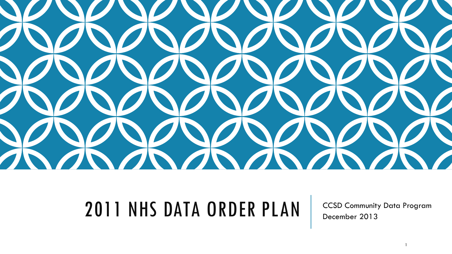

### 2011 NHS DATA ORDER PLAN | CCSD Community Data Program

December 2013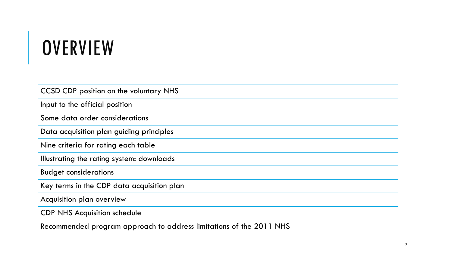# **OVERVIEW**

| CCSD CDP position on the voluntary NHS     |
|--------------------------------------------|
| Input to the official position             |
| Some data order considerations             |
| Data acquisition plan guiding principles   |
| Nine criteria for rating each table        |
| Illustrating the rating system: downloads  |
| <b>Budget considerations</b>               |
| Key terms in the CDP data acquisition plan |
| Acquisition plan overview                  |
| <b>CDP NHS Acquisition schedule</b>        |

Recommended program approach to address limitations of the 2011 NHS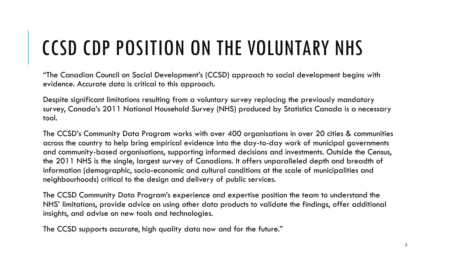# CCSD CDP POSITION ON THE VOLUNTARY NHS

"The Canadian Council on Social Development's (CCSD) approach to social development begins with evidence. Accurate data is critical to this approach.

Despite significant limitations resulting from a voluntary survey replacing the previously mandatory survey, Canada's 2011 National Household Survey (NHS) produced by Statistics Canada is a necessary tool.

The CCSD's Community Data Program works with over 400 organisations in over 20 cities & communities across the country to help bring empirical evidence into the day-to-day work of municipal governments and community-based organisations, supporting informed decisions and investments. Outside the Census, the 2011 NHS is the single, largest survey of Canadians. It offers unparalleled depth and breadth of information (demographic, socio-economic and cultural conditions at the scale of municipalities and neighbourhoods) critical to the design and delivery of public services.

The CCSD Community Data Program's experience and expertise position the team to understand the NHS' limitations, provide advice on using other data products to validate the findings, offer additional insights, and advise on new tools and technologies.

The CCSD supports accurate, high quality data now and for the future."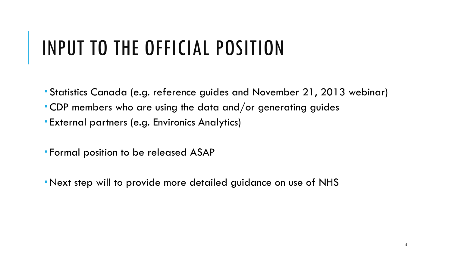# INPUT TO THE OFFICIAL POSITION

- Statistics Canada (e.g. reference guides and November 21, 2013 webinar)
- CDP members who are using the data and/or generating guides
- External partners (e.g. Environics Analytics)
- Formal position to be released ASAP
- Next step will to provide more detailed guidance on use of NHS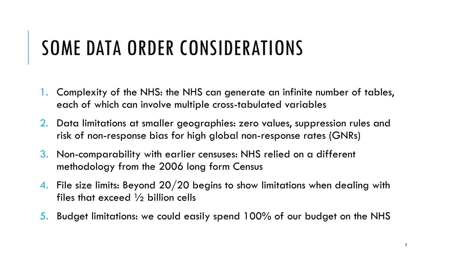### SOME DATA ORDER CONSIDERATIONS

- 1. Complexity of the NHS: the NHS can generate an infinite number of tables, each of which can involve multiple cross-tabulated variables
- 2. Data limitations at smaller geographies: zero values, suppression rules and risk of non-response bias for high global non-response rates (GNRs)
- 3. Non-comparability with earlier censuses: NHS relied on a different methodology from the 2006 long form Census
- 4. File size limits: Beyond  $20/20$  begins to show limitations when dealing with files that exceed  $\frac{1}{2}$  billion cells
- 5. Budget limitations: we could easily spend 100% of our budget on the NHS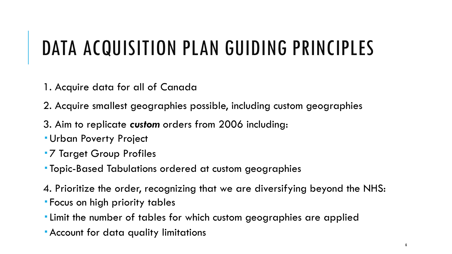### DATA ACQUISITION PLAN GUIDING PRINCIPLES

- 1. Acquire data for all of Canada
- 2. Acquire smallest geographies possible, including custom geographies
- 3. Aim to replicate *custom* orders from 2006 including:
- Urban Poverty Project
- **7 Target Group Profiles**
- Topic-Based Tabulations ordered at custom geographies
- 4. Prioritize the order, recognizing that we are diversifying beyond the NHS:
- Focus on high priority tables
- Limit the number of tables for which custom geographies are applied
- Account for data quality limitations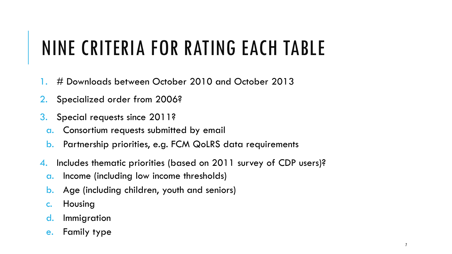# NINE CRITERIA FOR RATING EACH TABLE

- 1. # Downloads between October 2010 and October 2013
- 2. Specialized order from 2006?
- 3. Special requests since 2011?
	- a. Consortium requests submitted by email
	- b. Partnership priorities, e.g. FCM QoLRS data requirements
- 4. Includes thematic priorities (based on 2011 survey of CDP users)?
	- a. Income (including low income thresholds)
	- b. Age (including children, youth and seniors)
	- c. Housing
	- d. Immigration
	- e. Family type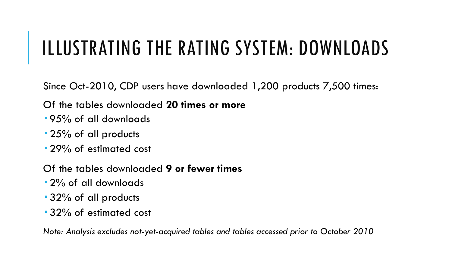### ILLUSTRATING THE RATING SYSTEM: DOWNLOADS

Since Oct-2010, CDP users have downloaded 1,200 products 7,500 times:

Of the tables downloaded **20 times or more**

- 95% of all downloads
- 25% of all products
- **29% of estimated cost**
- Of the tables downloaded **9 or fewer times**
- 2% of all downloads
- 32% of all products
- 32% of estimated cost

*Note: Analysis excludes not-yet-acquired tables and tables accessed prior to October 2010*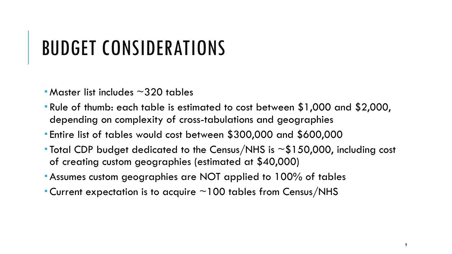### BUDGET CONSIDERATIONS

- $\blacksquare$  Master list includes  $\sim$  320 tables
- Rule of thumb: each table is estimated to cost between \$1,000 and \$2,000, depending on complexity of cross-tabulations and geographies
- Entire list of tables would cost between \$300,000 and \$600,000
- Total CDP budget dedicated to the Census/NHS is ~\$150,000, including cost of creating custom geographies (estimated at \$40,000)
- Assumes custom geographies are NOT applied to 100% of tables
- Current expectation is to acquire  $\sim$  100 tables from Census/NHS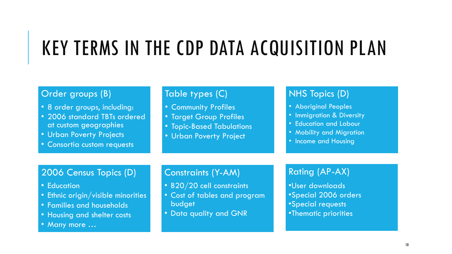# KEY TERMS IN THE CDP DATA ACQUISITION PLAN

#### Order groups (B)

- 8 order groups, including:
- 2006 standard TBTs ordered at custom geographies
- Urban Poverty Projects
- Consortia custom requests

#### Table types (C)

- Community Profiles
- Target Group Profiles
- Topic-Based Tabulations
- Urban Poverty Project

#### NHS Topics (D)

- Aboriginal Peoples
- Immigration & Diversity
- Education and Labour
- Mobility and Migration
- Income and Housing

### 2006 Census Topics (D)

- Education
- Ethnic origin/visible minorities
- Families and households
- Housing and shelter costs
- Many more …

#### Constraints (Y-AM)

- B20/20 cell constraints
- Cost of tables and program budget
- Data quality and GNR

### Rating (AP-AX)

•User downloads •Special 2006 orders •Special requests •Thematic priorities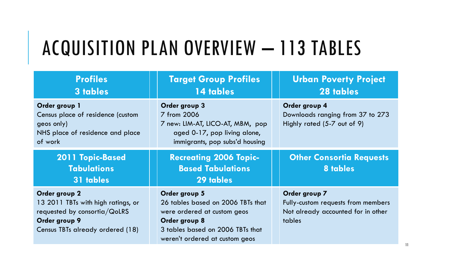# ACQUISITION PLAN OVERVIEW – 113 TABLES

| <b>Profiles</b><br>3 tables                                                                                                                 | <b>Target Group Profiles</b><br>14 tables                                                                                                                                | <b>Urban Poverty Project</b><br>28 tables                                                           |
|---------------------------------------------------------------------------------------------------------------------------------------------|--------------------------------------------------------------------------------------------------------------------------------------------------------------------------|-----------------------------------------------------------------------------------------------------|
| Order group 1<br>Census place of residence (custom<br>geos only)<br>NHS place of residence and place<br>of work                             | Order group 3<br>7 from 2006<br>7 new: LIM-AT, LICO-AT, MBM, pop<br>aged 0-17, pop living alone,<br>immigrants, pop subs'd housing                                       | Order group 4<br>Downloads ranging from 37 to 273<br>Highly rated (5-7 out of 9)                    |
| 2011 Topic-Based<br><b>Tabulations</b><br>31 tables                                                                                         | <b>Recreating 2006 Topic-</b><br><b>Based Tabulations</b><br>29 tables                                                                                                   | <b>Other Consortia Requests</b><br>8 tables                                                         |
| Order group 2<br>13 2011 TBTs with high ratings, or<br>requested by consortia/ $QoLRS$<br>Order group 9<br>Census TBTs already ordered (18) | Order group 5<br>26 tables based on 2006 TBTs that<br>were ordered at custom geos<br>Order group 8<br>3 tables based on 2006 TBTs that<br>weren't ordered at custom geos | Order group 7<br>Fully-custom requests from members<br>Not already accounted for in other<br>tables |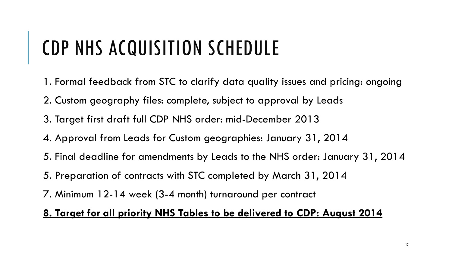### CDP NHS ACQUISITION SCHEDULE

- 1. Formal feedback from STC to clarify data quality issues and pricing: ongoing
- 2. Custom geography files: complete, subject to approval by Leads
- 3. Target first draft full CDP NHS order: mid-December 2013
- 4. Approval from Leads for Custom geographies: January 31, 2014
- 5. Final deadline for amendments by Leads to the NHS order: January 31, 2014
- 5. Preparation of contracts with STC completed by March 31, 2014
- 7. Minimum 12-14 week (3-4 month) turnaround per contract

### **8. Target for all priority NHS Tables to be delivered to CDP: August 2014**